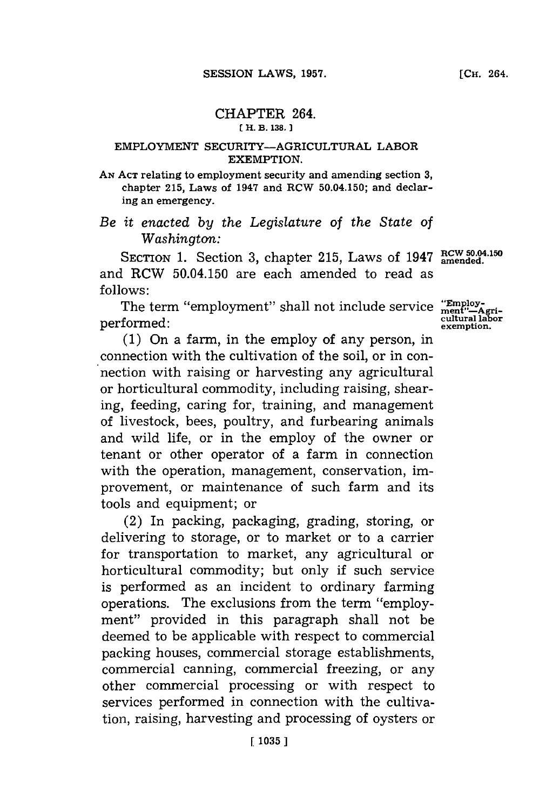## CHAPTER 264. **( H. B. 138,.**

## EMPLOYMENT SECURITY-AGRICULTURAL LABOR EXEMPTION.

**AN ACT** relating to employment security and amending section **3,** chapter **215,** Laws of 1947 and RCW 50.04.150; and declaring an emergency.

*Be it enacted by the Legislature of the State of Washington:*

SECTION 1. Section 3, chapter 215, Laws of 1947 RCW 50.04.150 and RCW 50.04.150 are each amended to read as **follows:**

The term "employment" shall not include service "Employ**cultural labor** performed: **exemption.**

**(1)** On a farm, in the employ of any person, in connection with the cultivation of the soil, or in connection with raising or harvesting any agricultural or horticultural commodity, including raising, shearing, feeding, caring for, training, and management of livestock, bees, poultry, and furbearing animals and wild life, or in the employ of the owner or tenant or other operator of a farm in connection with the operation, management, conservation, improvement, or maintenance of such farm and its tools and equipment; or

(2) In packing, packaging, grading, storing, or delivering to storage, or to market or to a carrier for transportation to market, any agricultural or horticultural commodity; but only if such service is performed as an incident to ordinary farming operations. The exclusions from the term "employment" provided in this paragraph shall not be deemed to be applicable with respect to commercial packing houses, commercial storage establishments, commercial canning, commercial freezing, or any other commercial processing or with respect to services performed in connection with the cultivation, raising, harvesting and processing of oysters or